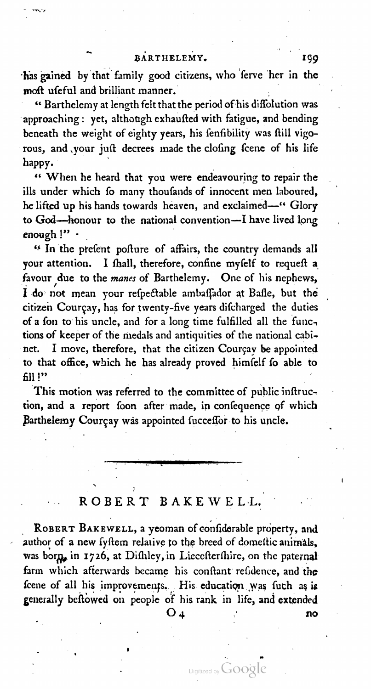BARTHELEMY. 199 moft ufeful and brilliant manner.

" Barthelemy at length felt that the period of his diffolution was approaching: yet, although exhaufted with fatigue, and bending beneath the weight of eighty years, his fenfibility was ftill vigorous, and your juft decrees made the clofing fcene of his life happy.

" When he heard that you were endeavouring to repair the ills under which fo many thoufands of innocent men laboured, he lifted up his hands towards heaven, and exclaimed-" Glory to God-honour to the national convention-I have lived long<br>enough !"

<sup>44</sup> In the prefent pofture of affairs, the country demands all your attention. I fhall, therefore, confine myfelf to requeft a favour due to the mane: of Barthelemy. One of his nephews, I do not mean your refpectable ambaffador at Bafle, but the citizen Courçay, has for twenty-five years difcharged the duties of a fon to his uncle, and for a long time fulfilled all the functions of keeper of the medals and antiquities of the national cabi-I move, therefore, that the citizen Courçay be appointed to that office, which he has already proved himfelf fo able to

This motion was referred to the committee of public inflruction, and a report foon after made, in confequence of which Barthelemy Courçay was appointed fucceffor to his uncle.

# ROBERT BAKEWELL.

 $\overline{\phantom{0}}$ 

ROBERT BAKEWELL, a yeoman of confiderable property, and author of a new fyftem relative to the breed of domettic animals, was born, in 1726, at Difhley, in Liecefterfhire, on the paternal farm which afterwards became his conftant refidence, and the fcene of all his improvements. His education was fuch as is generally be flowed on people of his rank in life, and extended<br> $O_A$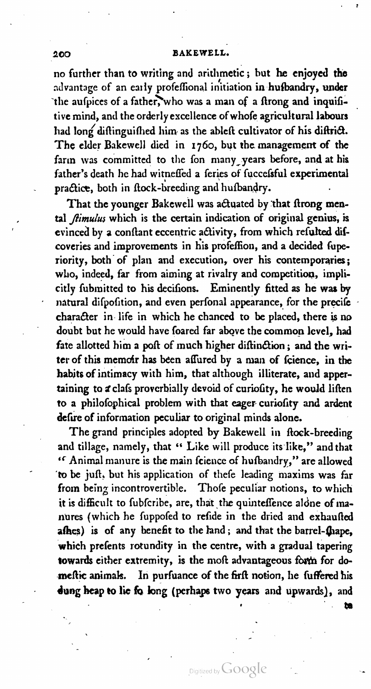no further than to writing and arithmetic; but he enjoyed the advantage of an early profeffional initiation in hufbandry, under the aufpices of a father, who was a man of a ftrong and inquifitive mind, and the orderly excellence of whofe agricultural labours had long diftinguifhed him as the ableft cultivator of his diftrict. The elder Bakewell died in 1760, but the management of the farm was committed to the fon many years before, and at his father's death he had witneffed a feries of fuccefsful experimental practice, both in flock-breeding and hufbandry.

That the younger Bakewell was actuated by that ftrong mental  $\theta$ *timulus* which is the certain indication of original genius, is evinced by a conftant eccentric activity, from which refulted difcoveries and improvements in his profeffion, and a decided fuperiority, both of plan and execution, over his contemporaries; who, indeed, far from aiming at rivalry and competition, implicitly fubmitted to his decifions. Eminently fitted as he was by natural difpofition, and even perfonal appearance, for the precife character in life in which he chanced to be placed, there is no doubt but he would have foared far above the common level, had fate allotted him a poft of much higher diftinction; and the writer of this memoir has been affured by a man of fcience, in the habits of intimacy with him, that although illiterate, and apper taining to a clafs proverbially devoid of curiofity, he would liften to a philofophical problem with that eager curiofity and ardent defire of information peculiar to original minds alone.

The grand principles adopted by Bakewell in flock-breeding and tillage, namely, that " Like will produce its like," and that " Animal manure is the main fcience of hufbandry," are allowed 'to be juſt, but his application of theſe leading maxims was far from being incontrovertible. Thofe peculiar notions, to which it is difficult to fubfcribe, are, that the quinteffence alone of manures (which he fuppofed to refide in the dried and exhaufted afhes) is of any benefit to the land; and that the barrel-fhape, which prefents rotundity in the centre, with a gradual tapering towards either extremity, is the moft advantageous form for domeftic animals. In purfuance of the firft notion, he fuffered his dung heap to lie fo long (perhaps two years and upwards), and

Digitized by  $Google$ 

. The contract of the contract of the contract of the contract of the contract of the contract of the contract of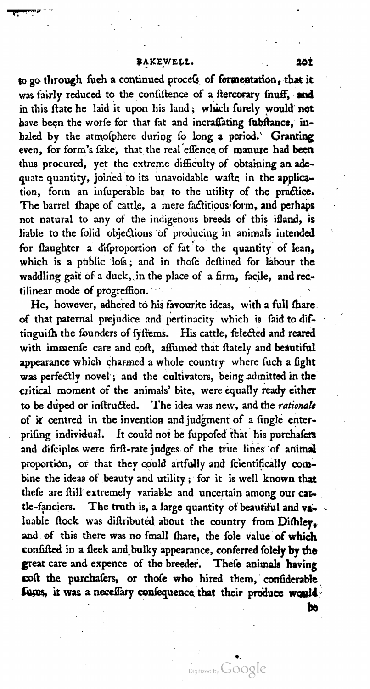to go through fueh a continued procefs of fermentation, that it was fairly reduced to the confiftence of a ftercorary fnuff, and in this ftate he laid it upon his land; which furely would not have been the worfe for that fat and incraffating fubftance, inhaled by the atmofphere during fo long a period. Granting even, for form's fake, that the real effence of manure had been thus procured, yet the extreme difficulty of obtaining an adequate quantity, joined to its unavoidable wafte in the application, form an infuperable bar to the utility of the practice. The barrel fhape of cattle, a mere factitious form, and perhaps not natural to any of the indigenous breeds of this ifland, is liable to the folid objections of producing in animals intended for flaughter a difproportion of fat to the quantity of lean, which is a public lofs; and in thofe deftined for labour the waddling gait of a duck, in the place of a firm, facile, and rec-<br>tilinear mode of progreffion.

He, however, adhered to his favourite ideas, with a full fhare of that paternal prejudice and pertinacity which is faid to diftinguish the founders of fystems. His cattle, felected and reared with immenfe care and coft, affumed that ftately and beautiful appearance which charmed a whole country where fuch a fight was perfectly novel; and the cultivators, being admitted in the critical moment of the animals' bite, were equally ready either to be duped or inftructed. The idea was new, and the rationale of it centred in the invention and judgment of a fingle enterprifing individual. It could not be fuppofed that his purchafers and difciples were firft-rate judges of the true lines of animal proportion, or that they could artfully and fcientifically combine the ideas of beauty and utility; for it is well known that thefe are ftill extremely variable and uncertain among our cattle-fanciers. The truth is, <sup>a</sup> large quantity of beautiful and va luable flock was diftributed about the country from Difhley. and of this there was no fmall fhare, the fole value of which confifted in a fleek and bulky appearance, conferred folely by the great care and expence of the breeder. Thefe animals having coft the purchafers, or thofe who hired them, confiderable fums, it was a neceffary confequence that their produce would

be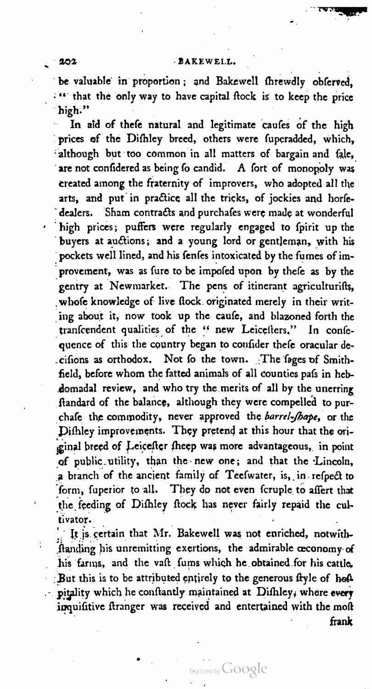be valuable in proportion; and Bakewell threwdly obferved, : " that the only way to have capital flock is to keep the price high."

In aid of thefe natural and legitimate caufes of the high prices of the Difhley breed, others were fuperadded, which, although but too common in all matters of bargain and fale, are not confidered as being fo candid. A fort of monopoly was created among the fraternity of improvers, who adopted all the arts, and put in practice all the tricks, of jockies and horfe-<br>dealers. Sham contracts and purchafes were made at wonderful high prices; puffers were regularly engaged to fpirit up the buyers at auctions; and a young lord or gentleman, with his pockets well lined, and his fenfes intoxicated by the fumes of improvement, was as fure to be impofed upon by thefe as by the gentry at Newmarket. The pens of itinerant agriculturifts, whofe knowledge of live flock originated merely in their writing about it, now took up the caufe, and blazoned forth the tranfcendent qualities of the " new Leicellers." In confe .cifions as orthodox. Not fo the town. The fages of Smithfield, before whom the fatted animals of all counties pafs in hebdomadal review, and who try the merits of all by the unerring ftandard of the balance, although they were compelled to purchafe the commodity, never approved the barrel-fhape, or the Difhley improvements. They pretend at this hour that the original breed of Leicefter fheep was more advantageous, in point of public utility, than the new one; and that the Lincoln, a branch of the ancient family of Teefwater, is, in refpect to form, fuperior to all. They do not even fcruple to affert that the feeding of Difhley flock has never fairly repaid the cultivator.

It is certain that Mr. Bakewell was not enriched, notwithhanding his unremitting exertions, the admirable oeconomy of his farms, and the vaft furns which he obtained for his cattle, But this is to be attributed entirely to the generous flyle of holpitality which he conftantly maintained at Difhley, where every inquifitive ftranger was received and entertained with the moft frank

1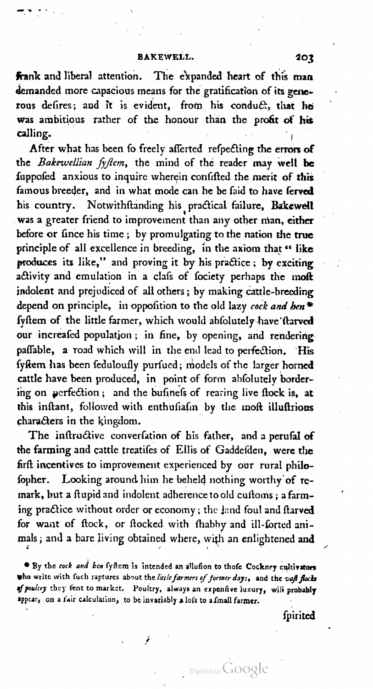frank and liberal attention. The expanded heart of this man demanded more capacious means for the gratification of its generous defires; and it is evident, from his conduct, that he was ambitious rather of the honour than the profit of his calling.

After what has been fo freely afferted refpecting the errors of the Bakewellian fyftem, the mind of the reader may well be fuppofed anxious to inquire wherein confifted the merit of this famous breeder, and in what mode can he be faid to have ferved his country. Notwithftanding his practical failure, Bakewell was a greater friend to improvement than any other man, either before or fince his time; by promulgating to the nation the true principle of all excellence in breeding, in the axiom that " like produces its like," and proving it by his practice; by exciting activity and emulation in a clafs of fociety perhaps the moft indolent and prejudiced of all others; by making cattle-breeding depend on principle, in opposition to the old lazy cock and ben\* fyftem of the little farmer, which would abfolutely have fearved our increafed population; in fine, by opening, and rendering paffable, a road which will in the end lead to perfection. His fykem has been feduloufly purfued; models of the larger horned cattle have been produced, in point of form abfolutely bordering on perfection; and the bufinefs of rearing live flock is, at this inftant, followed with enthufiafin by the moft illuftrions characters in the kingdom.

The inftructive converfation of his father, and a perufal of the farming and cattle treatifes of Ellis of Gaddefden, were the firft incentives to improvement experienced by our rural philofopher. Looking around him he beheld nothing worthy of remark, but a flupid and indolent adherence to old cuitoms; a farming practice without order or economy; the land foul and ftarved for want of flock, or flocked with fhabby and ill-forted animals; and a bare living obtained where, with an enlightened and

<sup>\*</sup> By the cock and ben fyftem is intended an allufion to thofe Cockney cultivators who write with fuch raptures about the little farmers of former days, and the vaft flocks of poultry they fent to market. Poultry, always an expensive luxury, will probably appear, on a fair calculation, to be invariably a lofs to a fmall farmer.

ſpirited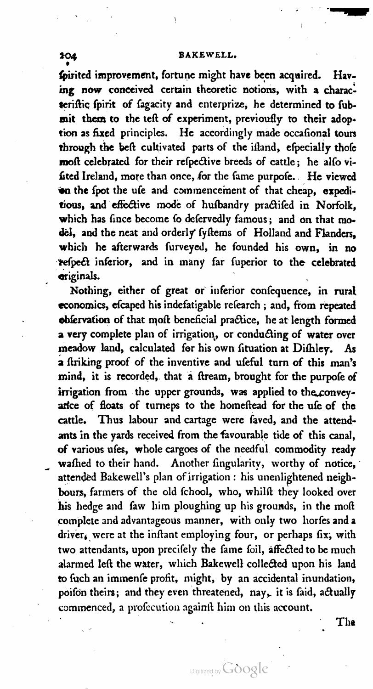fpirited improvement, fortune might have been acquired. Having now conceived certain theoretic notions, with a characteriftic fpirit of fagacity and enterprize, he determined to fubmit them to the teft of experiment, previoufly to their adoption as fixed principles. He accordingly made occafional tours through the beft cultivated parts of the ifland, efpecially thofe moft celebrated for their refpective breeds of cattle; he alfo vifited Ireland, more than once, for the fame purpofe. He viewed on the fpot the ufe and commencement of that cheap, expeditious, and effective mode of hufbandry practifed in Norfolk, which has fince become fo defervedly famous; and on that model, and the neat and orderly fyftems of Holland and Flanders, which he afterwards furveyed, he founded his own, in no refpect inferior, and in many far fuperior to the celebrated originals.

Nothing, either of great or inferior confequence, in rural economics, efcaped his indefatigable refearch ; and, from repeated obfervation of that moft beneficial practice, he at length formed a very complete plan of irrigation, or conducting of water over meadow land, calculated for his own fituation at Difhley. As a firiking proof of the inventive and ufeful turn of this man's mind, it is recorded, that a ftream, brought for the purpofe of irrigation from the upper grounds, was applied to the conveyarlce of floats of turneps to the homeftead for the ufe of the cattle. Thus labour and cartage were faved, and the attendants in the yards received from the favourable tide of this canal, of various ufes, whole cargoes of the needful commodity ready wafhed to their hand. Another fingularity, worthy of notice, attended Bakewell's plan of irrigation : his unenlightened neighbours, farmers of the old fchool, who, whilft they looked over his hedge and faw him ploughing up his grounds, in the moft complete and advantageous manner, with only two horfes and a two attendants, upon precifely the fame foil, affected to be much alarmed left the water, which Bakewell collected upon his land to fuch an immenfe profit, might, by an accidental inundation, poifon theirs; and they even threatened, nay, it is faid, actually commenced, a profecution againft him on this account.

\ - \* The

'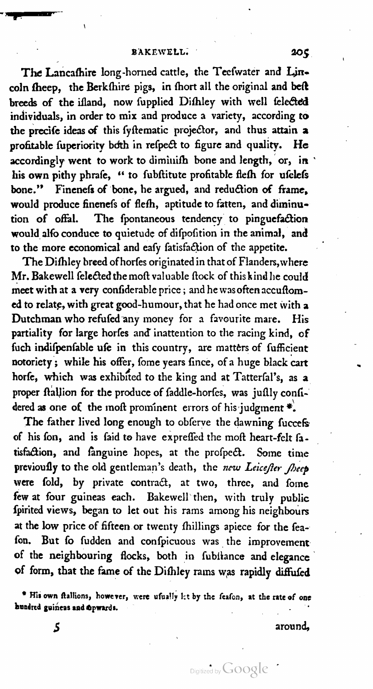The Lancashire long-horned cattle, the Tecfwater and Lincoln fheep, the Berkfhire pigs, in fhort all the original and beft breeds of the ifland, now fupplied Difhley with well felected individuals, in order to mix and produce a variety, according to the precife ideas of this fystematic projector, and thus attain a profitable fuperiority both in refpect to figure and quality. He accordingly went to work to diminifh bone and length, or, in his own pithy phrafe, " to fubftitute profitable fiefh for ufelefs bone." Finenefs of bone, he argued, and reduction of frame, would produce finenefs of flefh, aptitude to fatten, and diminution of offal. The fpontaneous tendency to pinguefaction would alfo conduce to quietude of difpofition in the animal, and to the more economical and eafy fatisfaction of the appetite.

The Difhley breed of horfes originated in that of Flanders, where Mr. Bakewell felected the moft valuable flock of this kind he could meet with at a very confiderable price; and he was often accuftomed to relate, with great good-humour, that he had once met with a Dutchman who refufed any money for a favourite mare. His partiality for large horfes and inattention to the racing kind, of fuch indifpenfable ufe in this country, are matters of fufficient notoriety; while his offer, fome years fince, of a huge black cart horfe, which was exhibited to the king and at Tatterfal's, as a proper ftallion for the produce of faddle-horfes, was juflly confidered as one of the moft prominent errors of his judgment  $\ast$ .

The father lived long enough to obferve the dawning fuccefs of his fon, and is faid to have expreffed the moft heart-felt fatisfaction, and fanguine hopes, at the profpect. Some time previously to the old gentleman's death, the new Leicefter fheep were fold, by private contract, at two, three, and fome few at four guineas each. Bakewcll then, with truly public ſpirited views, began to let out his rams among his neighbours at the low price of fifteen or twenty fhillings apiece for the feafon. But fo fudden and confpicuous was the improvement of the neighbouring flocks, both in fubilance and elegance of form, that the fame of the Difhley rams was rapidly diffufed

\* His own ftallions, however, were ufually let by the feafon, at the rate of one

5 around,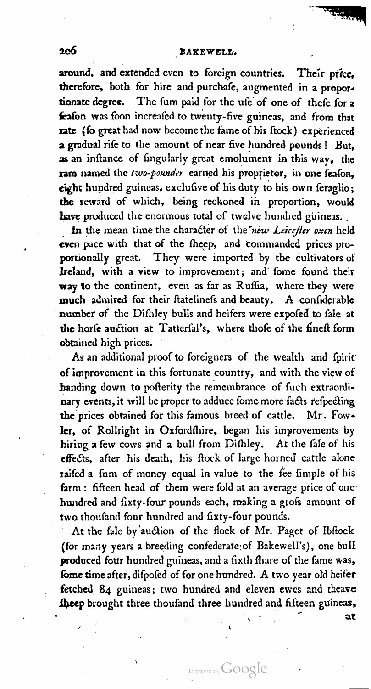around, and extended even to foreign countries. Their price, therefore, both for hire and purchafe, augmented in a proportionate degree. The fum paid for the ufe of one of thefe for a feafon was foon increafed to twenty-five guineas, and from that rate (fo great had now become the fame of his ftock) experienced a gradual rife to the amount of near five hundred pounds ! But, as an inftance of fingularly great emolument in this way, the ram named the two-pounder earned his proprietor, in one feafon. eight hundred guineas, exclusive of his duty to his own feraglio; the reward of which, being reckoned in proportion, would have produced the enormous total of twelve hundred guineas.

In the mean time the character of the new Leitcefler oxen held even pace with that of the fheep, and commanded prices proportionally great. They were imported by the cultivators of Ireland, with a view to improvement; and' ſome found their way to the continent, even as far as Ruffia, where they were much admired for their ftatelinefs and beauty. A confiderable number of the Difhley bulls and heifers were expofed to fale at the horfe auction at Tatterfal's, where thofe of the fineft form obtained high priccs.

As an additional proof to foreigners of the wealth and fpirit of improvement in this fortunate country, and with the view of handing down to pofterity the remembrance of fuch extraordinary events, it will be proper to adduce fome more facts refpecting the prices obtained for this famous breed of cattle. Mr. Fowler, of Rollright in Oxfordfhire, began his improvements by hiring a few cows and a bull from Difhley. At the fale of his effects, after his death, his flock of large horned cattle alone raifed a fum of money equal in value to the fee fimple of his farm : fifteen head of them were fold at an average price of one hundred and fixty-four pounds each, making a grofs amount of two thoufand four hundred and fixty-four pounds.

At the fale by'auction of the flock of Mr. Paget of Ibftock (for many years a breeding confederate of Bakewell's), one bull produced four hundred guineas, and a fixth fhare of the fame was, fome time after, difpofed of for one hundred. A two year old heifer fetched 84 guineas; two hundred and eleven ewes and theave sheep brought three thousand three hundred and fifteen guineas.

Digitized by Google

 $\mathcal{L} = \mathcal{L} \times \mathcal{L} = \mathcal{L} \times \mathcal{L} = \mathcal{L} \times \mathcal{L} = \mathcal{L} \times \mathcal{L}$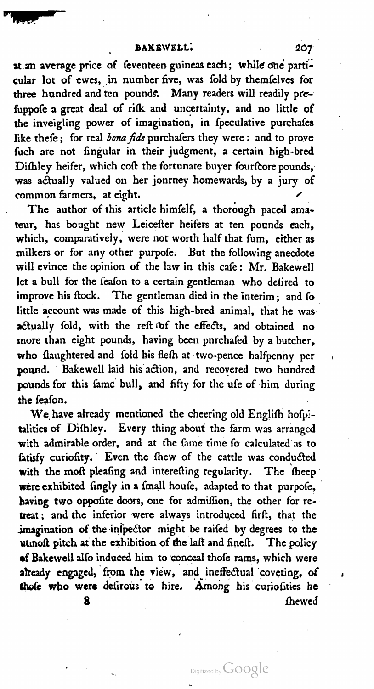BAKEWELL's and the second control of the second control of the second control of the second control of the second control of the second control of the second control of the second control of the second control of the secon

BAKEWELL: 207<br>at an average price of feventeen guineas each; while one particular lot of ewes, in number five, was fold by themfelves for three hundred and ten pounds. Many readers will readily prefuppofe a great deal of rifk and uncertainty, and no little of the inveigling power of imagination, in fpeculative purchafes like thefe; for real *bona fide* purchafers they were: and to prove fuch are not fingular in their judgment, a certain high-bred Dishley heifer, which cost the fortunate buyer fourfcore pounds, was actually valued on her jonrney homewards, by a jury of common farmers, at eight.

The author of this article himfelf, a thorough paced amateur, has bought new Leicester heifers at ten pounds each, which, comparatively, were not worth half that fum, either as milkers or for any other purpofe. But the following anecdote will evince the opinion of the law in this cafe: Mr. Bakewell let a bull for the feafon to a certain gentleman who defired to improve his flock. The gentleman died in the interim; and fo little account was made of this high-bred animal, that he was actually fold, with the reft of the effects, and obtained no more than eight pounds, having been pnrchafed by a butcher, who flaughtered and fold his flefh at two-pence halfpenny per pound. ' Bakewell laid his action, and recovered two hundred pounds for this fame bull, and fifty for the ufe of him during the feafon.

the ieaion.<br>We have already mentioned the cheering old English hofpiwith admirable order, and at the fame time fo calculated as to fatisfy curiofity.' Even the fhew of the cattle was conducted with the moft pleafing and interefting regularity. The theep were exhibited fingly in a fmall houfe, adapted to that purpofe, having two oppofite doors, one for admiffion, the other for retreat; and the inferior were always introduced firft, that the imagination of the infpector might be raifed by degrees to the utmoft pitch at the exhibition of the laft and fineft. The policy of Bakewell alfo induced him to conceal thofe rams, which were already engaged, from the view, and ineffectual coveting, of thofe who were defirous to hire. Among his curiofities he 3 ſhewed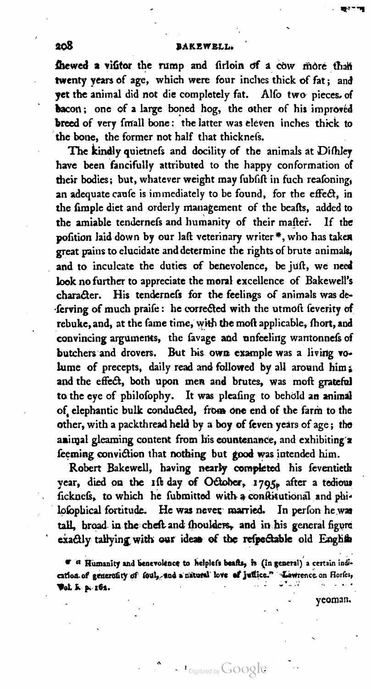## 208 BAttzweLL.

fhewed a vifitor the rump and firloin of a cow more than twenty years of age, which were four inches thick of fat; and yet the animal did not die completely fat. Alſo two pieces. of bacon; one of a large boned hog, the other of his improved breed of very fmall bone: the latter was eleven inches thick to the bone, the former not half that thicknefs.

The kindly quietnefs and docility of the animals at Difhley have been fancifully attributed to the happy conformation of their bodies; but, whatever weight may fubfift in fuch reafoning, an adequate caufe is immediately to be found, for the effect, in the fimple diet and orderly management of the beafts, added to the amiable tendernefs and humanity of their mafter. If the pofition laid down by our laft veterinary writer\*, who has taken great pains to elucidate and determine the rights of brute animals, and to inculcate the duties of benevolence, be juft, we need look no further to appreciate the moral excellence of Bakewell's character. His tendernefs for the feelings of animals was de-'ſerving of much praiſe: he corrected with the utmoſt ſeverity of rebuke, and, at the fame time, with the moft applicable, fhort, and convincing arguments, the favage and unfeeling wantonnefs of butchers and drovers. But his own example was a living volume of precepts, daily read and followed by all around him; and the effect, both upon men and brutes, was moft grateful to the eye of philofophy. It was pleafing to behold an animal of, elephantic bulk conducted, from one end of the farm to the other, with a packthread held by a boy of feven years of age; the animal gleaming content from his countenance, and exhibiting'a ſeeming conviction that nothing but good was intended him.

Robert Bakewell, having nearly completed his feventieth vear, died on the 1st day of October, 1795, after a tedious ficknefs, to which he fubmitted with a conftitutional and phitall, broad in the cheft and fhoulders, and in his general figure exactly tallying with our ideas of the refpectable old English

T 3' Hiunanity and henevolence to helpleſs heath, is (in general) <sup>a</sup> certain indi cation of generotity of foul, and a natural love of juffice." Lawrence on Horfes,

<sup>1</sup> Digitized by Google

yeoman.

.<br>" - *का*रणम